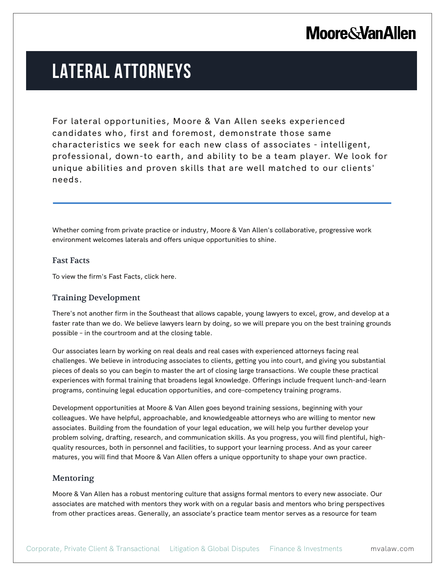## **Moore & Van Allen**

# **LATERAL ATTORNEYS**

For lateral opportunities, Moore & Van Allen seeks experienced candidates who, first and foremost, demonstrate those same characteristics we seek for each new class of associates - intelligent, professional, down-to earth, and ability to be a team player. We look for unique abilities and proven skills that are well matched to our clients' needs.

Whether coming from private practice or industry, Moore & Van Allen's collaborative, progressive work environment welcomes laterals and offers unique opportunities to shine.

#### Fast Facts

l.

To view the firm's Fast Facts, click here.

## Training Development

There's not another firm in the Southeast that allows capable, young lawyers to excel, grow, and develop at a faster rate than we do. We believe lawyers learn by doing, so we will prepare you on the best training grounds possible – in the courtroom and at the closing table.

Our associates learn by working on real deals and real cases with experienced attorneys facing real challenges. We believe in introducing associates to clients, getting you into court, and giving you substantial pieces of deals so you can begin to master the art of closing large transactions. We couple these practical experiences with formal training that broadens legal knowledge. Offerings include frequent lunch-and-learn programs, continuing legal education opportunities, and core-competency training programs.

Development opportunities at Moore & Van Allen goes beyond training sessions, beginning with your colleagues. We have helpful, approachable, and knowledgeable attorneys who are willing to mentor new associates. Building from the foundation of your legal education, we will help you further develop your problem solving, drafting, research, and communication skills. As you progress, you will find plentiful, highquality resources, both in personnel and facilities, to support your learning process. And as your career matures, you will find that Moore & Van Allen offers a unique opportunity to shape your own practice.

#### Mentoring

Moore & Van Allen has a robust mentoring culture that assigns formal mentors to every new associate. Our associates are matched with mentors they work with on a regular basis and mentors who bring perspectives from other practices areas. Generally, an associate's practice team mentor serves as a resource for team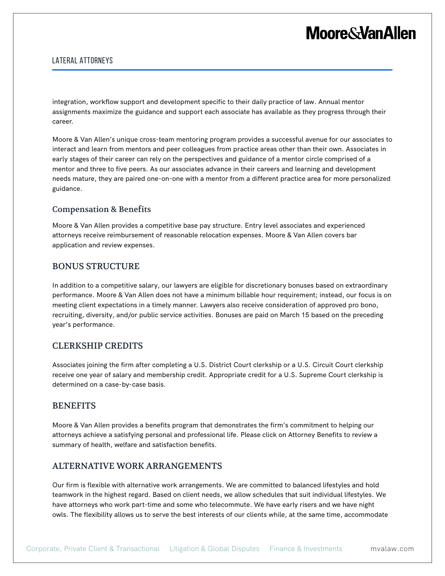## **Moore&VanAllen**

#### LATERAL ATTORNEYS

integration, workflow support and development specific to their daily practice of law. Annual mentor assignments maximize the guidance and support each associate has available as they progress through their career.

Moore & Van Allen's unique cross-team mentoring program provides a successful avenue for our associates to interact and learn from mentors and peer colleagues from practice areas other than their own. Associates in early stages of their career can rely on the perspectives and guidance of a mentor circle comprised of a mentor and three to five peers. As our associates advance in their careers and learning and development needs mature, they are paired one-on-one with a mentor from a different practice area for more personalized guidance.

#### Compensation & Benefits

Moore & Van Allen provides a competitive base pay structure. Entry level associates and experienced attorneys receive reimbursement of reasonable relocation expenses. Moore & Van Allen covers bar application and review expenses.

### BONUS STRUCTURE

In addition to a competitive salary, our lawyers are eligible for discretionary bonuses based on extraordinary performance. Moore & Van Allen does not have a minimum billable hour requirement; instead, our focus is on meeting client expectations in a timely manner. Lawyers also receive consideration of approved pro bono, recruiting, diversity, and/or public service activities. Bonuses are paid on March 15 based on the preceding year's performance.

#### CLERKSHIP CREDITS

Associates joining the firm after completing a U.S. District Court clerkship or a U.S. Circuit Court clerkship receive one year of salary and membership credit. Appropriate credit for a U.S. Supreme Court clerkship is determined on a case-by-case basis.

#### BENEFITS

Moore & Van Allen provides a benefits program that demonstrates the firm's commitment to helping our attorneys achieve a satisfying personal and professional life. Please click on Attorney Benefits to review a summary of health, welfare and satisfaction benefits.

## ALTERNATIVE WORK ARRANGEMENTS

Our firm is flexible with alternative work arrangements. We are committed to balanced lifestyles and hold teamwork in the highest regard. Based on client needs, we allow schedules that suit individual lifestyles. We have attorneys who work part-time and some who telecommute. We have early risers and we have night owls. The flexibility allows us to serve the best interests of our clients while, at the same time, accommodate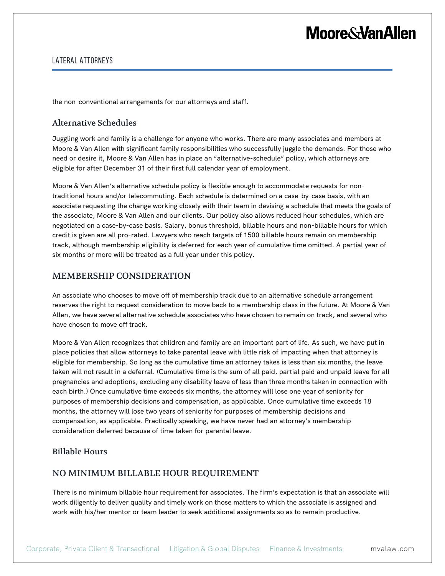## **Moore&VanAllen**

#### LATERAL ATTORNEYS

the non-conventional arrangements for our attorneys and staff.

### Alternative Schedules

Juggling work and family is a challenge for anyone who works. There are many associates and members at Moore & Van Allen with significant family responsibilities who successfully juggle the demands. For those who need or desire it, Moore & Van Allen has in place an "alternative-schedule" policy, which attorneys are eligible for after December 31 of their first full calendar year of employment.

Moore & Van Allen's alternative schedule policy is flexible enough to accommodate requests for nontraditional hours and/or telecommuting. Each schedule is determined on a case-by-case basis, with an associate requesting the change working closely with their team in devising a schedule that meets the goals of the associate, Moore & Van Allen and our clients. Our policy also allows reduced hour schedules, which are negotiated on a case-by-case basis. Salary, bonus threshold, billable hours and non-billable hours for which credit is given are all pro-rated. Lawyers who reach targets of 1500 billable hours remain on membership track, although membership eligibility is deferred for each year of cumulative time omitted. A partial year of six months or more will be treated as a full year under this policy.

## MEMBERSHIP CONSIDERATION

An associate who chooses to move off of membership track due to an alternative schedule arrangement reserves the right to request consideration to move back to a membership class in the future. At Moore & Van Allen, we have several alternative schedule associates who have chosen to remain on track, and several who have chosen to move off track.

Moore & Van Allen recognizes that children and family are an important part of life. As such, we have put in place policies that allow attorneys to take parental leave with little risk of impacting when that attorney is eligible for membership. So long as the cumulative time an attorney takes is less than six months, the leave taken will not result in a deferral. (Cumulative time is the sum of all paid, partial paid and unpaid leave for all pregnancies and adoptions, excluding any disability leave of less than three months taken in connection with each birth.) Once cumulative time exceeds six months, the attorney will lose one year of seniority for purposes of membership decisions and compensation, as applicable. Once cumulative time exceeds 18 months, the attorney will lose two years of seniority for purposes of membership decisions and compensation, as applicable. Practically speaking, we have never had an attorney's membership consideration deferred because of time taken for parental leave.

## Billable Hours

## NO MINIMUM BILLABLE HOUR REQUIREMENT

There is no minimum billable hour requirement for associates. The firm's expectation is that an associate will work diligently to deliver quality and timely work on those matters to which the associate is assigned and work with his/her mentor or team leader to seek additional assignments so as to remain productive.